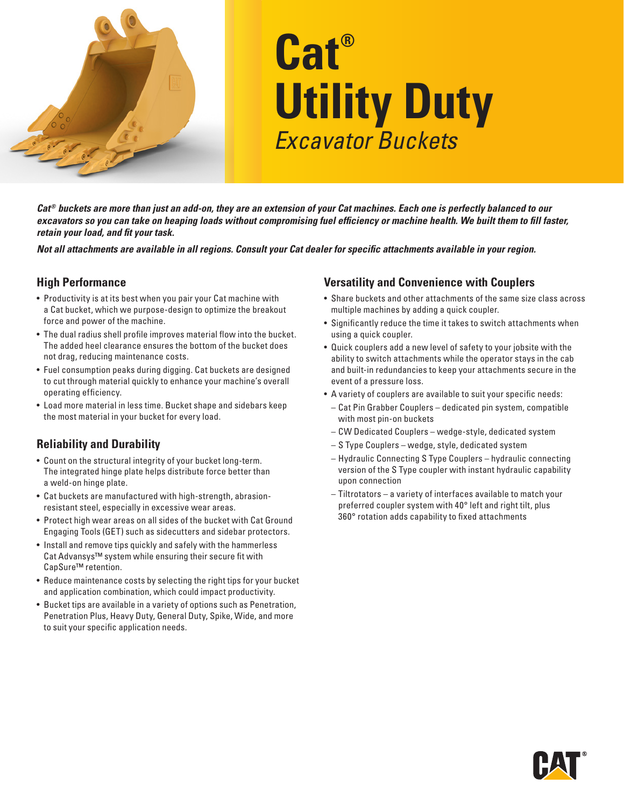

# **Cat® Utility Duty** *Excavator Buckets*

*Cat® buckets are more than just an add-on, they are an extension of your Cat machines. Each one is perfectly balanced to our excavators so you can take on heaping loads without compromising fuel efficiency or machine health. We built them to fill faster, retain your load, and fit your task.*

*Not all attachments are available in all regions. Consult your Cat dealer for specific attachments available in your region.*

#### **High Performance**

- Productivity is at its best when you pair your Cat machine with a Cat bucket, which we purpose-design to optimize the breakout force and power of the machine.
- The dual radius shell profile improves material flow into the bucket. The added heel clearance ensures the bottom of the bucket does not drag, reducing maintenance costs.
- Fuel consumption peaks during digging. Cat buckets are designed to cut through material quickly to enhance your machine's overall operating efficiency.
- Load more material in less time. Bucket shape and sidebars keep the most material in your bucket for every load.

# **Reliability and Durability**

- Count on the structural integrity of your bucket long-term. The integrated hinge plate helps distribute force better than a weld-on hinge plate.
- Cat buckets are manufactured with high-strength, abrasionresistant steel, especially in excessive wear areas.
- Protect high wear areas on all sides of the bucket with Cat Ground Engaging Tools (GET) such as sidecutters and sidebar protectors.
- Install and remove tips quickly and safely with the hammerless Cat Advansys™ system while ensuring their secure fit with CapSure™ retention.
- Reduce maintenance costs by selecting the right tips for your bucket and application combination, which could impact productivity.
- Bucket tips are available in a variety of options such as Penetration, Penetration Plus, Heavy Duty, General Duty, Spike, Wide, and more to suit your specific application needs.

## **Versatility and Convenience with Couplers**

- Share buckets and other attachments of the same size class across multiple machines by adding a quick coupler.
- Significantly reduce the time it takes to switch attachments when using a quick coupler.
- Quick couplers add a new level of safety to your jobsite with the ability to switch attachments while the operator stays in the cab and built-in redundancies to keep your attachments secure in the event of a pressure loss.
- A variety of couplers are available to suit your specific needs:
	- Cat Pin Grabber Couplers dedicated pin system, compatible with most pin-on buckets
	- CW Dedicated Couplers wedge-style, dedicated system
	- S Type Couplers wedge, style, dedicated system
	- Hydraulic Connecting S Type Couplers hydraulic connecting version of the S Type coupler with instant hydraulic capability upon connection
	- Tiltrotators a variety of interfaces available to match your preferred coupler system with 40° left and right tilt, plus 360° rotation adds capability to fixed attachments